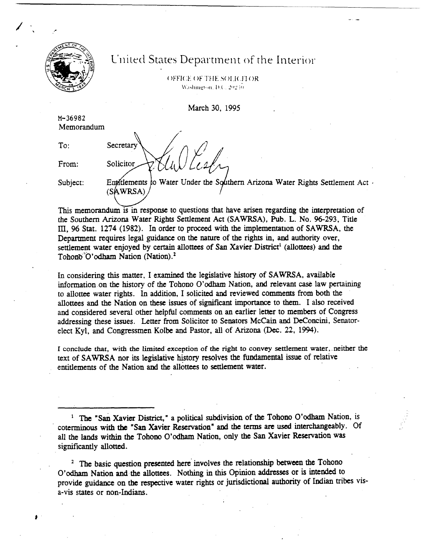

## **United States Department of the Interior**

OFFICE OF THE SOLICITOR Washington, D.C. 20240.

March 30. 1995

**M-36982**  Memorandum

Secretary

Solicitor

To:

From:

Subject: Entitlements to Water Under the Southern Arizona Water Rights Settlement Act **-** (SAWRSA)

This memorandum is in response to questions that have arisen regarding the interpretation of the Southern Arizona Water Rights Settlement Act (SAWRSA), Pub. L. No. 96-293, Title III, 96 Stat. 1274 (1982). In order to proceed with the implementation of SAWRSA, the Department requires legal guidance on the **nature** of the rights in, and authority over, settlement water enjoyed by certain allottees of San Xavier District<sup>1</sup> (allottees) and the Tohono<sup>"</sup>O'odham Nation (Nation).<sup>2</sup>

In considering this matter, I examined the legislative history of SAWRSA, available mformation-on the history of the Tohono O'odham Nation, and relevant **case** law pertaining to allottee water rights. In addition, I solicited **and** reviewed comments from both the allottees and the Nation on these issues of significant importance to them. I also received and considered several other heIpful comments on an earlier letter to members of Congress addressing these issues. Letter from Solicitor to Senators McCain and DeConcini, Senatorelect Kyl, and Congressmen Kolbe and Pastor, all of Arizona (Dec. 22, 1994).

**I concIude that, with the** limited **exception of the** right to **convey** settlement water, neither the text of SAWRSA nor its legislative history resolves the fundamental issue of relative entitlements of the Nation and the allottees to settlement water.

<sup>1</sup> The "San Xavier District," a political subdivision of the Tohono O'odham Nation, is coterminous with **the "San** Xavicr Reservation" and the **terms** are used interchangeably. Of all the lands within the Tohono O'odham Nation, only the San Xavier Reservation was significantly allotted.

The basic question presented here involves the relationship **between** the Tohono **O'odham** Nation and the **allottecs.** Nothmg in this Opinion addresses or is intended to provide guidance on the respective water rights or jurisdictional authority of Indian tribes visa-vis states or non-Indians.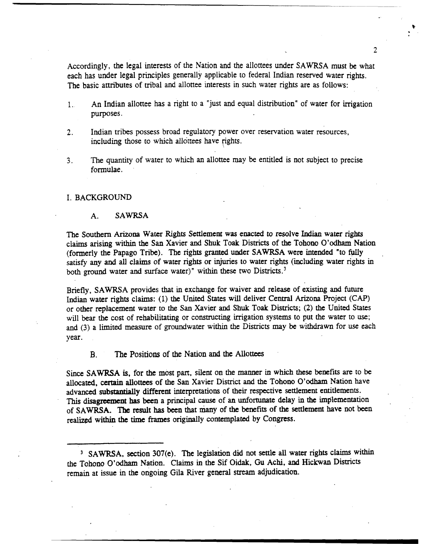Accordingly, the legal interests of the Nation and the aliottees under SAWRSA must be what each has under legal principles generally applicable to federal Indian reserved water rights. The basic attributes of tribal and allottee interests in such water rights are as follows:

- 1. An Indian allottee has a right to a "just and equal distribution" of water for irrigation purposes.
- **2.** Indian tribes possess broad regulatory power over reservation water resources, including those to which allottees have rights.
- 3. The quantity of water to which an allottee may be entitled is not subject to precise formulae.

## I. BACKGROUND

## **A. SAWRSA**

The Southern Arizona Water **Rights** Settlement was enacted to resolve Tndian water rights claims arising within the San Xavier and Shuk Toak Districts of the Tohono O'odharn Nation (formerly the Papago Tribe). The rights granted under SAWRSA were intended "to fully satisfy any and all claims of water rights or injuries to water rights (including water rights in both ground water and surface water)" within these two Districts.<sup>3</sup>

Briefly, **SAWRSA** provides that in exchange for waiver and release of existing and future Indian water rights claims: (1) the United States will deliver Central Arizona Project (CAP) or other replacement water to the San Xavier and Shuk Toak Districts; (2) the United States will bear the cost of rehabilitating or constructing irrigation systems to put the water to use; and (3) a limited measure of groundwater within the Districts may be **withdrawn** for use each year.

**B.** The Positions of the Nation and the Allottees

**Since \$Am is,** for the most part, silent on the manner in which **these** benefits are to be allocated, certain allottees of the San Xavier District and the Tohono O'odham Nation have advanced substantially different interpretations of their respective settlement entitlements. This **disagreement** has **been** a principal **cause** of an unfortunate delay in **the** implementation of **SAWRSA. The** result has been that **akny** of **the** benefits of the settlement have not been realized **within** the time frames originally contemplated by Congress.

 $\overline{2}$ 

SAWRSA, section **307(e).** The legislation did not settle **all** water rights claims within the Tohono **O'odham** Nation. Claims in the Sif Oidak, **Gu** Achi, and Hickwan Dismcts remain at issue in the ongoing Gila River general stream adjudication.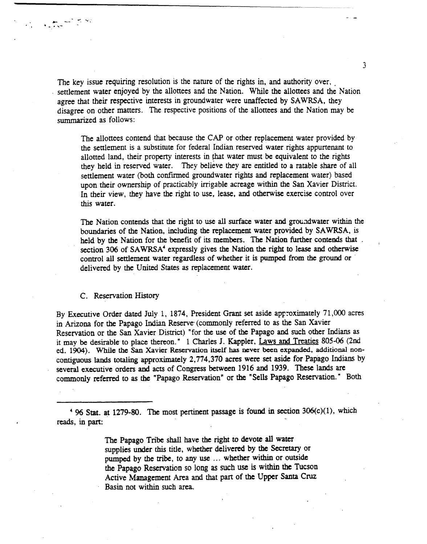The key issue requiring resolution is the nature of the rights in, and authority over, settlement water enjoyed by the allottees and the Nation. While the allottees and the Nation agree that their respective interests in groundwater were unaffected by SAWRSA, they disagree on other matters. The respective positions of the allottees and the Nation may be summarized as follows:

The allottees contend that because the CAP or other replacement water provided by the settlement is a substitute for federal Indian reserved water rights appurtenant to allotted land, their property interests in that water must be equivalent to the rights they held in reserved water. They believe they are entitled to a ratable share of all settlement water (both confirmed groundwater rights and replacement water) based upon their ownership of practicably irrigable acreage within the San Xavier District. In their view, they have the right to use, lease, and otherwise exercise control over this water.

The Nation contends that the right to **use** all **surface** water **and** groadwater within the boundaries of the Nation, including the replacement water provided by SAWRSA, is held by the Nation for the benefit of its members. The Nation further contends that section 306 of SAWRSA<sup>4</sup> expressly gives the Nation the right to lease and otherwise control all settlement water regardless of whether it is pumped **from the** ground or ' delivered by the United **States** as replacement water.

## C. Reservation History

By Executive Order dated July 1, 1874, President **Grant** set aside approximately 7 1,000 acres in Arizona for the Papago Indian Reserve (commonly referred to as the San Xavier Reservation or the **San** Xavier District) "for the **use** of the Papago and such other Indians as it may be desirable to place thereon." 1 Charles J. Kappler, Laws and Treaties 805-06 (2nd ed. 1904). While the San Xavier Reservation itself has never been expanded, additional noncontiguous lands totaling approximately 2,774,370 acres were set aside for Papago Indians by several executive orders and acts of Congress between 1916 and 1939. These lands are commonly referred to as the "Papago Reservation" or the "Sells Papago Reservation. " Both

' % **Stat. at** 1279-80. **The** most pertinent passage is found in section **306(c)(l),** which **reads,** in part:

> The Papago Tribe shall bave the right to devote all water supplies under this title, whether delivered by the Secretary or pumped by the tribe, to any use ... whether within or outside the Papago Reservation so long as such use is within **the** Tucson Active Management Area and that part of the Upper **Santa Cm Basin** not within such area.

 $\overline{3}$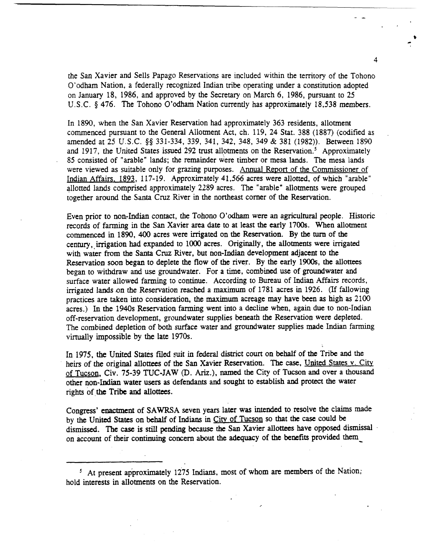the San Xavier and Sells Papago Reservations are included within the territory of the Tohono O'odham Nation, a federally recognized Indian tribe operating under a constitution adopted on January 18, 1986, and approved by the Secretary on March 6, 1986, pursuant to 25 U.S.C. § 476. The Tohono O'odham Nation currently has approximately 18,538 members.

In 1890, when the San Xavier Reservation had approximately 363 residents, allotment commenced pursuant to the General Allotment Act, ch. 119, 24 Stat. 388 (1887) (codified as amended at 25 U.S.C. \$\$ 331-334, 339, 341, 342, 348, 349 & 381 (1982)). Between 1890 and 1917, the United States issued 292 trust allotments on the Reservation.<sup>5</sup> Approximately 85 consisted of "arable" lands; the remainder were timber or mesa lands. The mesa lands were viewed as suitable only for grazing purposes. Annual Report of the Commissioner of Indian Affairs. 1893, 1 17-19. Approximately 41,566 acres were allotted, of which "arable" allotted lands comprised approximately 2289 acres. The "arable" allotments were grouped together around the Santa Cruz River in the northeast corner of the Reservation.

Even prior to non-Indian contact, the Tohono O'odham were **an** agricultural people. Historic records of farming in the **San** Xavier area date to at least the early 1700s. When allotment commenced in 1890, 400 acres were **irrigated** on the Reservation. By the **turn** of the century, irrigation had expanded to 1000 acres. Originally, the allotments were irrigated with wakr from the **Santa** Cruz River, but non-Indian development adjacent to the Reservation soon began to deplete the flow of the river. By the early 1900s, the allottees began to withdraw and use groundwater. For a time, combined use of groundwater **and**  surface water allowed farming to continue. According to Bureau of Indian Affairs records, irrigated lands on the Reservation reached a maximum of 1781 acres in 1926. (If fallowing practices are taken into consideration, the maximum acreage **may** have been as high as 2100 acres.) In the 1940s Reservation farming went into a decline when, again due to non-Indian off-reservation development, groundwater supplies **beneath** the Reservation were depleted. The combined depletion of both surface water and groundwater supplies made Indian farming virtually impossible by the late 1970s.

In 1975, the United States filed suit in federal district court on behalf of the Tribe and the heirs of the original alloftees of the **San** Xavier Reservation. The **case,** United States v. **Citv**  of Tucson, Civ. 75-39 TUC-JAW (D. Ariz.), named the City of Tucson and over a thousand other non-Indian water **users** as defendants and sought to establish **and** protect the water rights of the Tribe and allottees.

Congress' enactment of **SAWRSA** seven years later was **intended** to resolve the claims made by the United States on behalf of Indians in City of Tucson so that the case could be dismissed. The **case** is stdl pending **because** the **San** Xavier allottecs have opposed dismissal on account of their continuing concern about the adequacy of the benefits provided them

<sup>5</sup> At present approximately 1275 Indians, most of whom are members of the Nation; hold interests in allotments on the Reservation.

4